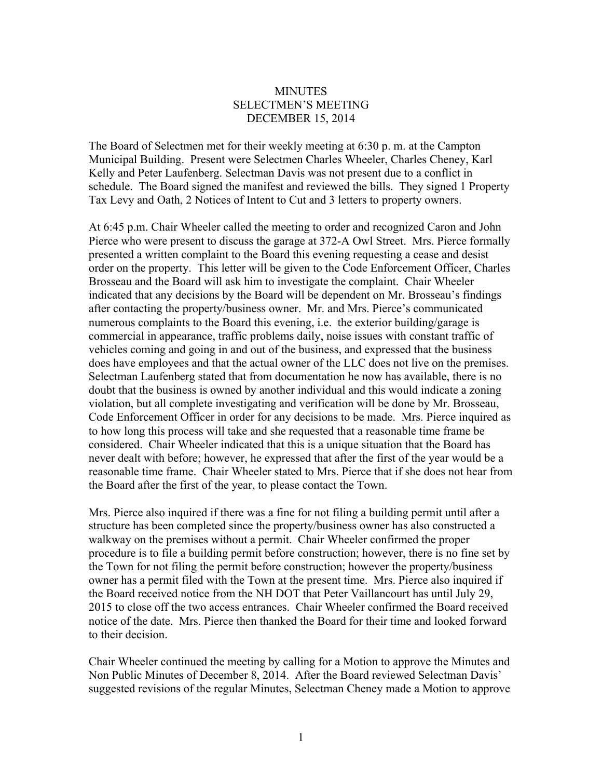## **MINUTES** SELECTMEN'S MEETING DECEMBER 15, 2014

The Board of Selectmen met for their weekly meeting at 6:30 p. m. at the Campton Municipal Building. Present were Selectmen Charles Wheeler, Charles Cheney, Karl Kelly and Peter Laufenberg. Selectman Davis was not present due to a conflict in schedule. The Board signed the manifest and reviewed the bills. They signed 1 Property Tax Levy and Oath, 2 Notices of Intent to Cut and 3 letters to property owners.

At 6:45 p.m. Chair Wheeler called the meeting to order and recognized Caron and John Pierce who were present to discuss the garage at 372-A Owl Street. Mrs. Pierce formally presented a written complaint to the Board this evening requesting a cease and desist order on the property. This letter will be given to the Code Enforcement Officer, Charles Brosseau and the Board will ask him to investigate the complaint. Chair Wheeler indicated that any decisions by the Board will be dependent on Mr. Brosseau's findings after contacting the property/business owner. Mr. and Mrs. Pierce's communicated numerous complaints to the Board this evening, i.e. the exterior building/garage is commercial in appearance, traffic problems daily, noise issues with constant traffic of vehicles coming and going in and out of the business, and expressed that the business does have employees and that the actual owner of the LLC does not live on the premises. Selectman Laufenberg stated that from documentation he now has available, there is no doubt that the business is owned by another individual and this would indicate a zoning violation, but all complete investigating and verification will be done by Mr. Brosseau, Code Enforcement Officer in order for any decisions to be made. Mrs. Pierce inquired as to how long this process will take and she requested that a reasonable time frame be considered. Chair Wheeler indicated that this is a unique situation that the Board has never dealt with before; however, he expressed that after the first of the year would be a reasonable time frame. Chair Wheeler stated to Mrs. Pierce that if she does not hear from the Board after the first of the year, to please contact the Town.

Mrs. Pierce also inquired if there was a fine for not filing a building permit until after a structure has been completed since the property/business owner has also constructed a walkway on the premises without a permit. Chair Wheeler confirmed the proper procedure is to file a building permit before construction; however, there is no fine set by the Town for not filing the permit before construction; however the property/business owner has a permit filed with the Town at the present time. Mrs. Pierce also inquired if the Board received notice from the NH DOT that Peter Vaillancourt has until July 29, 2015 to close off the two access entrances. Chair Wheeler confirmed the Board received notice of the date. Mrs. Pierce then thanked the Board for their time and looked forward to their decision.

Chair Wheeler continued the meeting by calling for a Motion to approve the Minutes and Non Public Minutes of December 8, 2014. After the Board reviewed Selectman Davis' suggested revisions of the regular Minutes, Selectman Cheney made a Motion to approve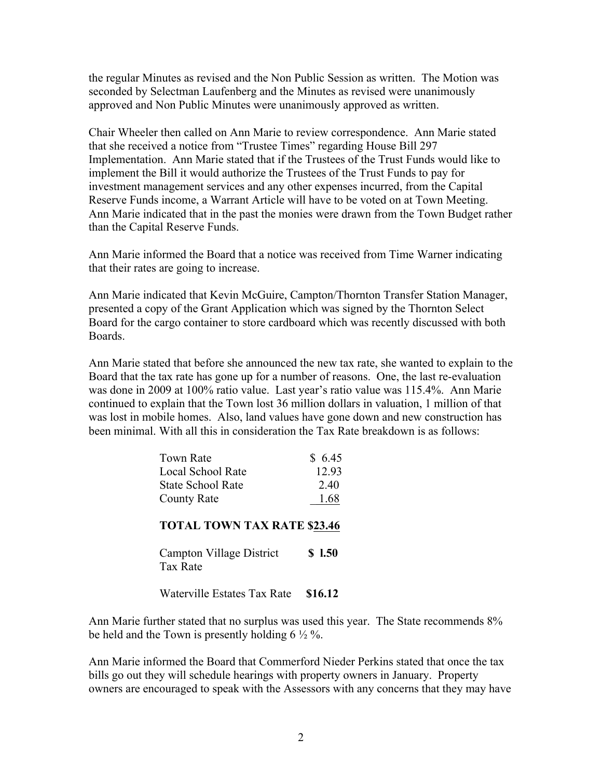the regular Minutes as revised and the Non Public Session as written. The Motion was seconded by Selectman Laufenberg and the Minutes as revised were unanimously approved and Non Public Minutes were unanimously approved as written.

Chair Wheeler then called on Ann Marie to review correspondence. Ann Marie stated that she received a notice from "Trustee Times" regarding House Bill 297 Implementation. Ann Marie stated that if the Trustees of the Trust Funds would like to implement the Bill it would authorize the Trustees of the Trust Funds to pay for investment management services and any other expenses incurred, from the Capital Reserve Funds income, a Warrant Article will have to be voted on at Town Meeting. Ann Marie indicated that in the past the monies were drawn from the Town Budget rather than the Capital Reserve Funds.

Ann Marie informed the Board that a notice was received from Time Warner indicating that their rates are going to increase.

Ann Marie indicated that Kevin McGuire, Campton/Thornton Transfer Station Manager, presented a copy of the Grant Application which was signed by the Thornton Select Board for the cargo container to store cardboard which was recently discussed with both Boards.

Ann Marie stated that before she announced the new tax rate, she wanted to explain to the Board that the tax rate has gone up for a number of reasons. One, the last re-evaluation was done in 2009 at 100% ratio value. Last year's ratio value was 115.4%. Ann Marie continued to explain that the Town lost 36 million dollars in valuation, 1 million of that was lost in mobile homes. Also, land values have gone down and new construction has been minimal. With all this in consideration the Tax Rate breakdown is as follows:

| Town Rate                          | \$6.45 |
|------------------------------------|--------|
| <b>Local School Rate</b>           | 12.93  |
| <b>State School Rate</b>           | 2.40   |
| <b>County Rate</b>                 | 1.68   |
| <b>TOTAL TOWN TAX RATE \$23.46</b> |        |

Campton Village District **\$ l.50** Tax Rate

Waterville Estates Tax Rate **\$16.12**

Ann Marie further stated that no surplus was used this year. The State recommends 8% be held and the Town is presently holding  $6\frac{1}{2}\%$ .

Ann Marie informed the Board that Commerford Nieder Perkins stated that once the tax bills go out they will schedule hearings with property owners in January. Property owners are encouraged to speak with the Assessors with any concerns that they may have